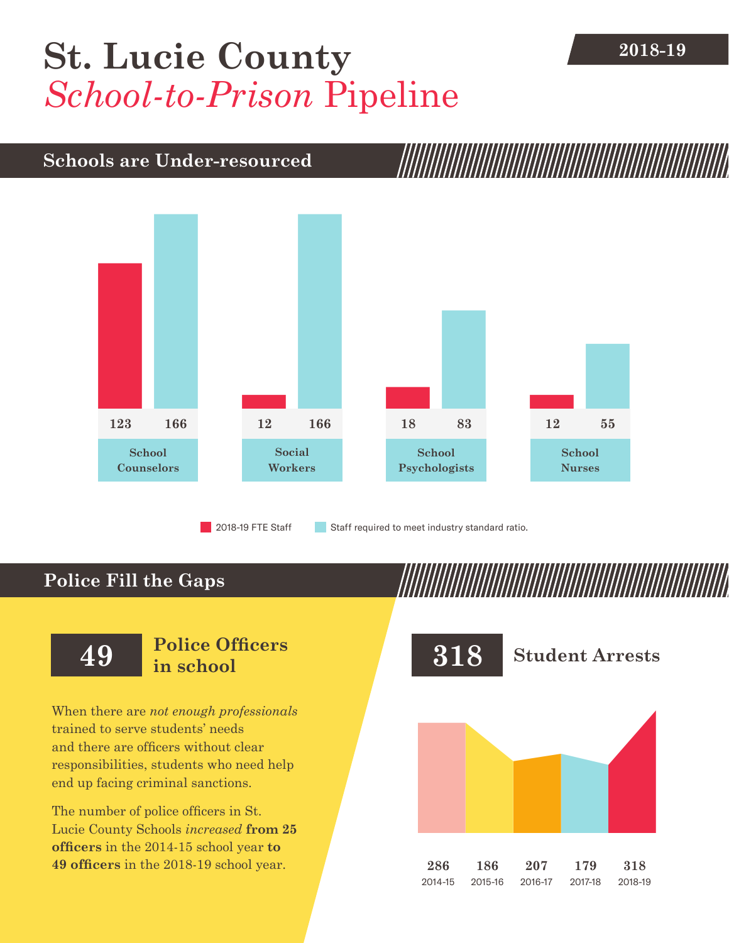## **2018-19 [St. Lucie County](DBF_County)** *School-to-Prison* Pipeline

## **Schools are Under-resourced**



2018-19 FTE Staff **Staff required to meet industry standard ratio.** 

## **Police Fill the Gaps**

When there are *not enough professionals* trained to serve students' needs and there are officers without clear responsibilities, students who need help end up facing criminal sanctions.

The number of police officers in [St.](DBF_County)  [Lucie County](DBF_County) Schools *increased* **from [25](DBF_PO1415)  officers** in the 2014-15 school year **to [49](DBF_PO) officers** in the 2018-19 school year.